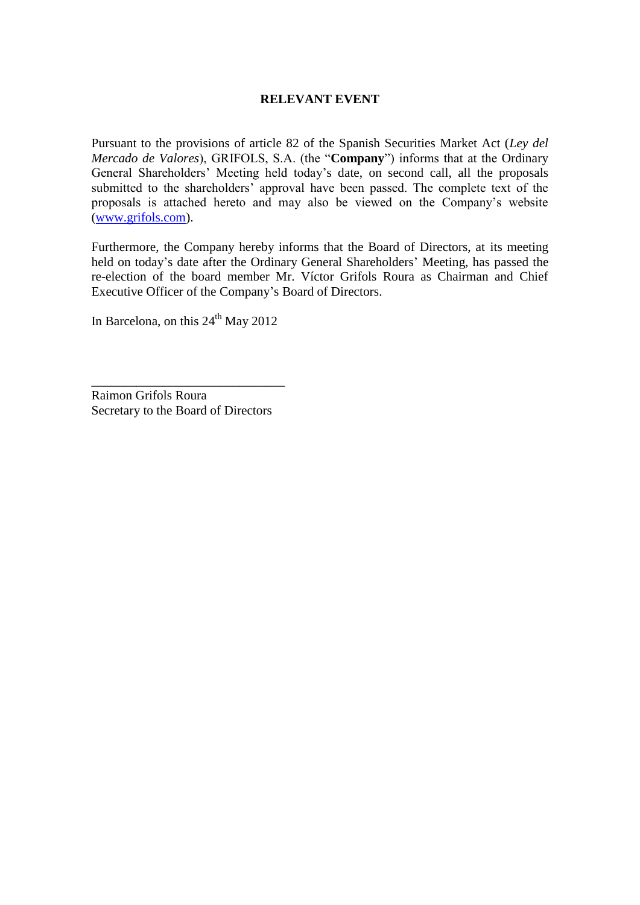# **RELEVANT EVENT**

Pursuant to the provisions of article 82 of the Spanish Securities Market Act (*Ley del Mercado de Valores*), GRIFOLS, S.A. (the "**Company**") informs that at the Ordinary General Shareholders' Meeting held today's date, on second call, all the proposals submitted to the shareholders' approval have been passed. The complete text of the proposals is attached hereto and may also be viewed on the Company's website [\(www.grifols.com\)](http://www.grifols.com/).

Furthermore, the Company hereby informs that the Board of Directors, at its meeting held on today's date after the Ordinary General Shareholders' Meeting, has passed the re-election of the board member Mr. Víctor Grifols Roura as Chairman and Chief Executive Officer of the Company's Board of Directors.

In Barcelona, on this 24<sup>th</sup> May 2012

Raimon Grifols Roura Secretary to the Board of Directors

\_\_\_\_\_\_\_\_\_\_\_\_\_\_\_\_\_\_\_\_\_\_\_\_\_\_\_\_\_\_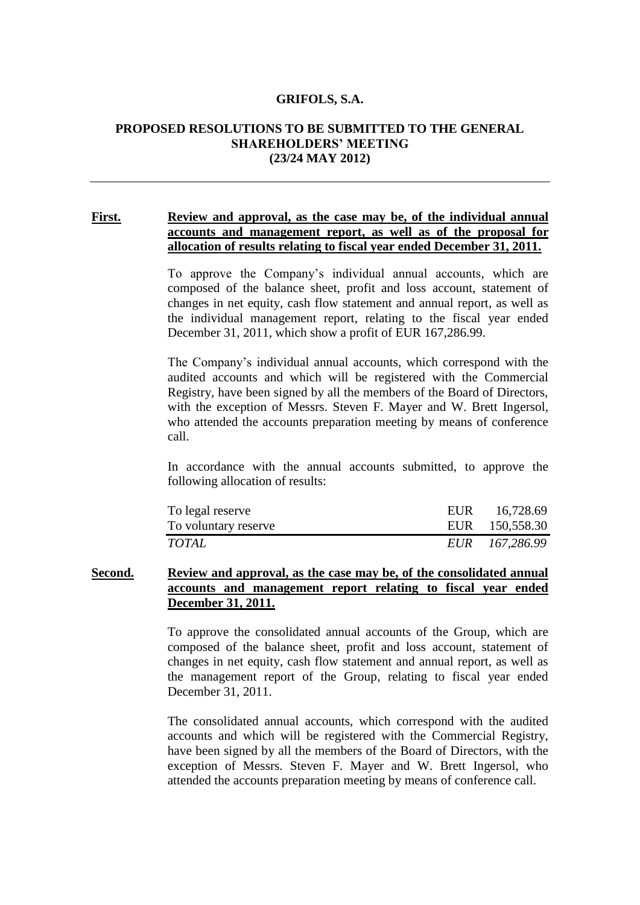#### **GRIFOLS, S.A.**

### **PROPOSED RESOLUTIONS TO BE SUBMITTED TO THE GENERAL SHAREHOLDERS' MEETING (23/24 MAY 2012)**

## **First. Review and approval, as the case may be, of the individual annual accounts and management report, as well as of the proposal for allocation of results relating to fiscal year ended December 31, 2011.**

To approve the Company's individual annual accounts, which are composed of the balance sheet, profit and loss account, statement of changes in net equity, cash flow statement and annual report, as well as the individual management report, relating to the fiscal year ended December 31, 2011, which show a profit of EUR 167,286.99.

The Company's individual annual accounts, which correspond with the audited accounts and which will be registered with the Commercial Registry, have been signed by all the members of the Board of Directors, with the exception of Messrs. Steven F. Mayer and W. Brett Ingersol, who attended the accounts preparation meeting by means of conference call.

In accordance with the annual accounts submitted, to approve the following allocation of results:

| To legal reserve     | EUR 16,728.69  |
|----------------------|----------------|
| To voluntary reserve | EUR 150,558.30 |
| TOTAL                | EUR 167,286.99 |

# **Second. Review and approval, as the case may be, of the consolidated annual accounts and management report relating to fiscal year ended December 31, 2011.**

To approve the consolidated annual accounts of the Group, which are composed of the balance sheet, profit and loss account, statement of changes in net equity, cash flow statement and annual report, as well as the management report of the Group, relating to fiscal year ended December 31, 2011.

The consolidated annual accounts, which correspond with the audited accounts and which will be registered with the Commercial Registry, have been signed by all the members of the Board of Directors, with the exception of Messrs. Steven F. Mayer and W. Brett Ingersol, who attended the accounts preparation meeting by means of conference call.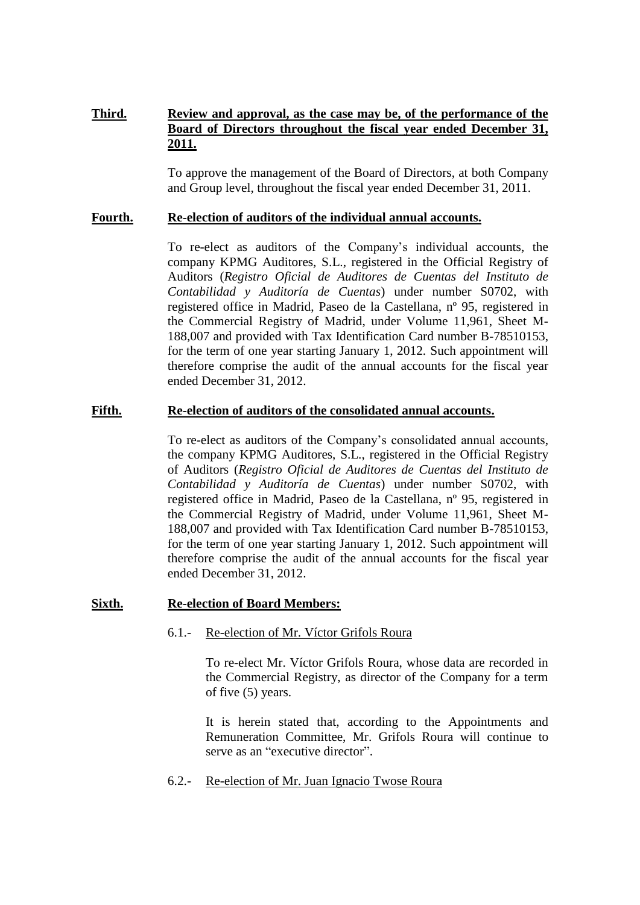# **Third. Review and approval, as the case may be, of the performance of the Board of Directors throughout the fiscal year ended December 31, 2011.**

To approve the management of the Board of Directors, at both Company and Group level, throughout the fiscal year ended December 31, 2011.

## **Fourth. Re-election of auditors of the individual annual accounts.**

To re-elect as auditors of the Company's individual accounts, the company KPMG Auditores, S.L., registered in the Official Registry of Auditors (*Registro Oficial de Auditores de Cuentas del Instituto de Contabilidad y Auditoría de Cuentas*) under number S0702, with registered office in Madrid, Paseo de la Castellana, nº 95, registered in the Commercial Registry of Madrid, under Volume 11,961, Sheet M-188,007 and provided with Tax Identification Card number B-78510153, for the term of one year starting January 1, 2012. Such appointment will therefore comprise the audit of the annual accounts for the fiscal year ended December 31, 2012.

# **Fifth. Re-election of auditors of the consolidated annual accounts.**

To re-elect as auditors of the Company's consolidated annual accounts, the company KPMG Auditores, S.L., registered in the Official Registry of Auditors (*Registro Oficial de Auditores de Cuentas del Instituto de Contabilidad y Auditoría de Cuentas*) under number S0702, with registered office in Madrid, Paseo de la Castellana, nº 95, registered in the Commercial Registry of Madrid, under Volume 11,961, Sheet M-188,007 and provided with Tax Identification Card number B-78510153, for the term of one year starting January 1, 2012. Such appointment will therefore comprise the audit of the annual accounts for the fiscal year ended December 31, 2012.

# **Sixth. Re-election of Board Members:**

6.1.- Re-election of Mr. Víctor Grifols Roura

To re-elect Mr. Víctor Grifols Roura, whose data are recorded in the Commercial Registry, as director of the Company for a term of five (5) years.

It is herein stated that, according to the Appointments and Remuneration Committee, Mr. Grifols Roura will continue to serve as an "executive director".

6.2.- Re-election of Mr. Juan Ignacio Twose Roura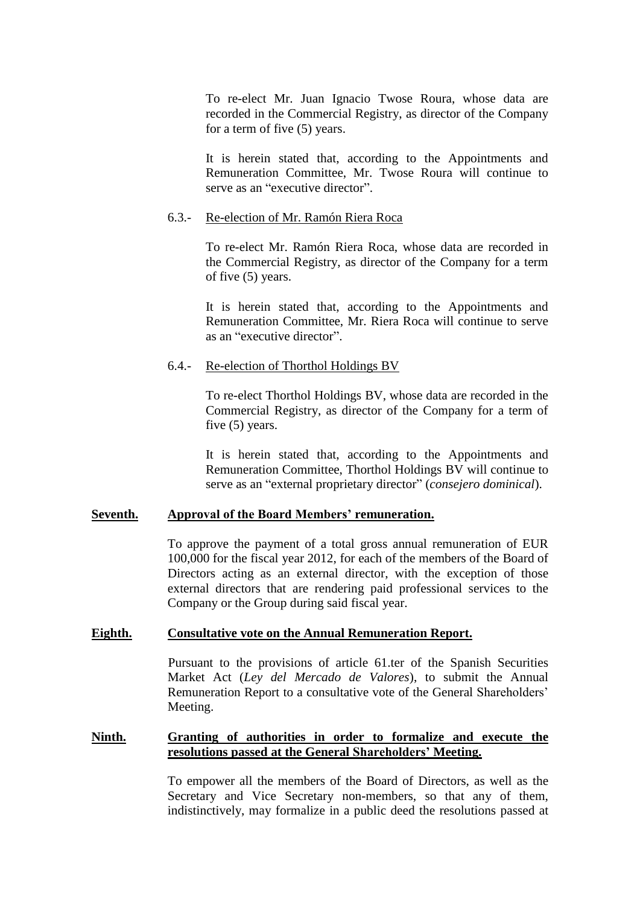To re-elect Mr. Juan Ignacio Twose Roura, whose data are recorded in the Commercial Registry, as director of the Company for a term of five (5) years.

It is herein stated that, according to the Appointments and Remuneration Committee, Mr. Twose Roura will continue to serve as an "executive director".

#### 6.3.- Re-election of Mr. Ramón Riera Roca

To re-elect Mr. Ramón Riera Roca, whose data are recorded in the Commercial Registry, as director of the Company for a term of five (5) years.

It is herein stated that, according to the Appointments and Remuneration Committee, Mr. Riera Roca will continue to serve as an "executive director".

## 6.4.- Re-election of Thorthol Holdings BV

To re-elect Thorthol Holdings BV, whose data are recorded in the Commercial Registry, as director of the Company for a term of five (5) years.

It is herein stated that, according to the Appointments and Remuneration Committee, Thorthol Holdings BV will continue to serve as an "external proprietary director" (*consejero dominical*).

## **Seventh. Approval of the Board Members' remuneration.**

To approve the payment of a total gross annual remuneration of EUR 100,000 for the fiscal year 2012, for each of the members of the Board of Directors acting as an external director, with the exception of those external directors that are rendering paid professional services to the Company or the Group during said fiscal year.

## **Eighth. Consultative vote on the Annual Remuneration Report.**

Pursuant to the provisions of article 61.ter of the Spanish Securities Market Act (*Ley del Mercado de Valores*), to submit the Annual Remuneration Report to a consultative vote of the General Shareholders' Meeting.

# **Ninth. Granting of authorities in order to formalize and execute the resolutions passed at the General Shareholders' Meeting.**

To empower all the members of the Board of Directors, as well as the Secretary and Vice Secretary non-members, so that any of them, indistinctively, may formalize in a public deed the resolutions passed at